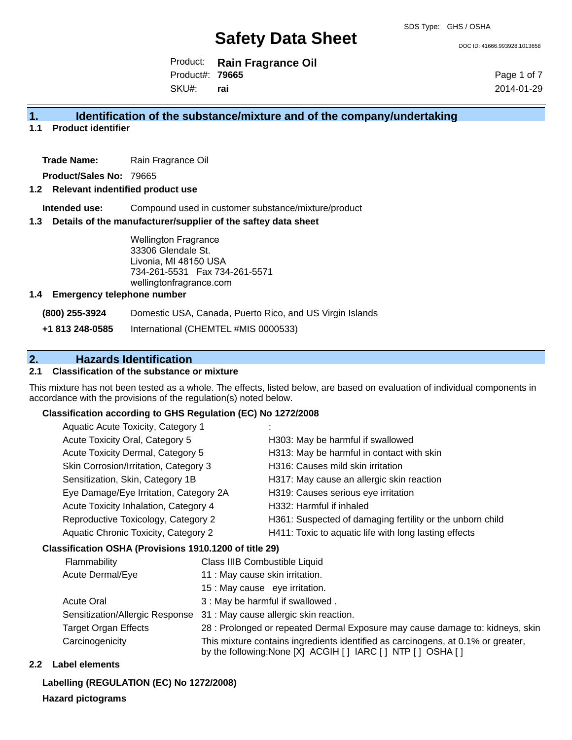DOC ID: 41666.993928.1013658

Product: **Rain Fragrance Oil** SKU#: Product#: **79665 rai**

Page 1 of 7 2014-01-29

# **1. Identification of the substance/mixture and of the company/undertaking**

**1.1 Product identifier**

**Trade Name:** Rain Fragrance Oil

**Product/Sales No:** 79665

### **1.2 Relevant indentified product use**

**Intended use:** Compound used in customer substance/mixture/product

#### **1.3 Details of the manufacturer/supplier of the saftey data sheet**

Wellington Fragrance 33306 Glendale St. Livonia, MI 48150 USA 734-261-5531 Fax 734-261-5571 wellingtonfragrance.com

#### **1.4 Emergency telephone number**

**(800) 255-3924** Domestic USA, Canada, Puerto Rico, and US Virgin Islands

**+1 813 248-0585** International (CHEMTEL #MIS 0000533)

# **2. Hazards Identification**

# **2.1 Classification of the substance or mixture**

This mixture has not been tested as a whole. The effects, listed below, are based on evaluation of individual components in accordance with the provisions of the regulation(s) noted below.

#### **Classification according to GHS Regulation (EC) No 1272/2008**

| Aquatic Acute Toxicity, Category 1     |                                                           |
|----------------------------------------|-----------------------------------------------------------|
| Acute Toxicity Oral, Category 5        | H303: May be harmful if swallowed                         |
| Acute Toxicity Dermal, Category 5      | H313: May be harmful in contact with skin                 |
| Skin Corrosion/Irritation, Category 3  | H316: Causes mild skin irritation                         |
| Sensitization, Skin, Category 1B       | H317: May cause an allergic skin reaction                 |
| Eye Damage/Eye Irritation, Category 2A | H319: Causes serious eye irritation                       |
| Acute Toxicity Inhalation, Category 4  | H332: Harmful if inhaled                                  |
| Reproductive Toxicology, Category 2    | H361: Suspected of damaging fertility or the unborn child |
| Aquatic Chronic Toxicity, Category 2   | H411: Toxic to aquatic life with long lasting effects     |
|                                        |                                                           |

#### **Classification OSHA (Provisions 1910.1200 of title 29)**

| Flammability                    | Class IIIB Combustible Liquid                                                                                                                      |
|---------------------------------|----------------------------------------------------------------------------------------------------------------------------------------------------|
| Acute Dermal/Eye                | 11 : May cause skin irritation.                                                                                                                    |
|                                 | 15 : May cause eye irritation.                                                                                                                     |
| <b>Acute Oral</b>               | 3 : May be harmful if swallowed.                                                                                                                   |
| Sensitization/Allergic Response | 31 : May cause allergic skin reaction.                                                                                                             |
| <b>Target Organ Effects</b>     | 28 : Prolonged or repeated Dermal Exposure may cause damage to: kidneys, skin                                                                      |
| Carcinogenicity                 | This mixture contains ingredients identified as carcinogens, at 0.1% or greater,<br>by the following: None [X] ACGIH [ ] IARC [ ] NTP [ ] OSHA [ ] |

#### **2.2 Label elements**

**Labelling (REGULATION (EC) No 1272/2008)**

#### **Hazard pictograms**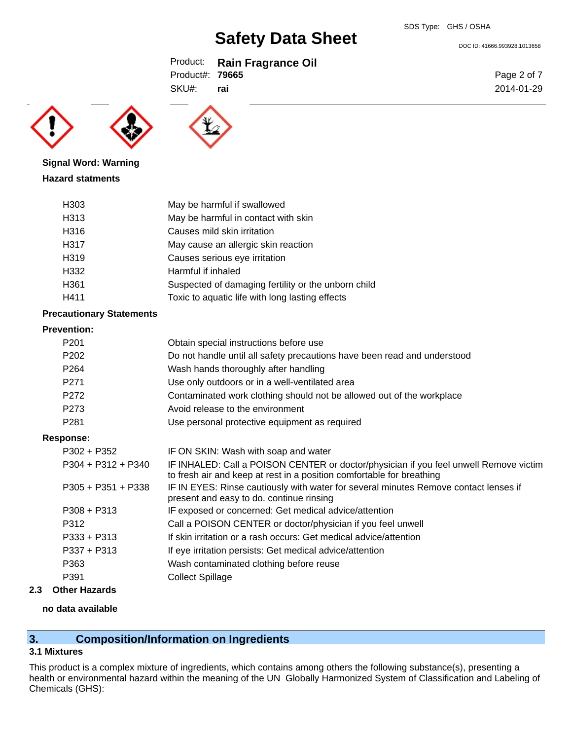DOC ID: 41666.993928.1013658

Product: **Rain Fragrance Oil** Product#: **79665**

SKU#: **rai**





**Signal Word: Warning Hazard statments**

| H303             | May be harmful if swallowed                         |
|------------------|-----------------------------------------------------|
| H313             | May be harmful in contact with skin                 |
| H316             | Causes mild skin irritation                         |
| H317             | May cause an allergic skin reaction                 |
| H319             | Causes serious eye irritation                       |
| H332             | Harmful if inhaled                                  |
| H <sub>361</sub> | Suspected of damaging fertility or the unborn child |
| H411             | Toxic to aquatic life with long lasting effects     |

## **Precautionary Statements**

#### **Prevention:**

| P <sub>201</sub>     | Obtain special instructions before use                                                                                                                         |
|----------------------|----------------------------------------------------------------------------------------------------------------------------------------------------------------|
| P <sub>202</sub>     | Do not handle until all safety precautions have been read and understood                                                                                       |
| P <sub>264</sub>     | Wash hands thoroughly after handling                                                                                                                           |
| P <sub>271</sub>     | Use only outdoors or in a well-ventilated area                                                                                                                 |
| P272                 | Contaminated work clothing should not be allowed out of the workplace                                                                                          |
| P273                 | Avoid release to the environment                                                                                                                               |
| P <sub>281</sub>     | Use personal protective equipment as required                                                                                                                  |
| Response:            |                                                                                                                                                                |
| P302 + P352          | IF ON SKIN: Wash with soap and water                                                                                                                           |
| $P304 + P312 + P340$ | IF INHALED: Call a POISON CENTER or doctor/physician if you feel unwell Remove victim<br>to fresh air and keep at rest in a position comfortable for breathing |
| $P305 + P351 + P338$ | IF IN EYES: Rinse cautiously with water for several minutes Remove contact lenses if<br>present and easy to do. continue rinsing                               |
| $P308 + P313$        | IF exposed or concerned: Get medical advice/attention                                                                                                          |
| P312                 | Call a POISON CENTER or doctor/physician if you feel unwell                                                                                                    |
| $P333 + P313$        | If skin irritation or a rash occurs: Get medical advice/attention                                                                                              |
| $P337 + P313$        | If eye irritation persists: Get medical advice/attention                                                                                                       |
| P363                 | Wash contaminated clothing before reuse                                                                                                                        |

P391 Collect Spillage

# **2.3 Other Hazards**

# **no data available**

# **3. Composition/Information on Ingredients**

## **3.1 Mixtures**

This product is a complex mixture of ingredients, which contains among others the following substance(s), presenting a health or environmental hazard within the meaning of the UN Globally Harmonized System of Classification and Labeling of Chemicals (GHS):

Page 2 of 7 2014-01-29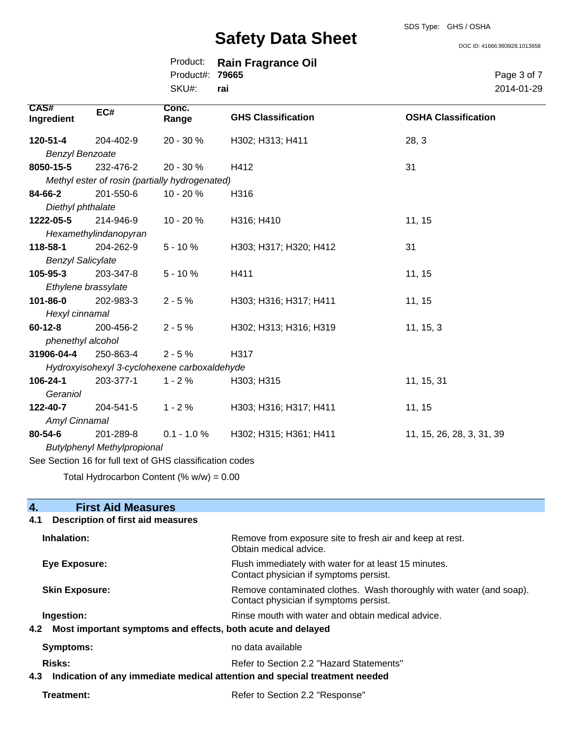DOC ID: 41666.993928.1013658

|                 | Product: Rain Fragrance Oil |
|-----------------|-----------------------------|
| Product#: 79665 |                             |
| SKU#: rai       |                             |

Page 3 of 7 2014-01-29

| <b>CAS#</b><br>Ingredient                                | EC#                                            | Conc.<br>Range | <b>GHS Classification</b> | <b>OSHA Classification</b> |
|----------------------------------------------------------|------------------------------------------------|----------------|---------------------------|----------------------------|
| 120-51-4                                                 | 204-402-9                                      | 20 - 30 %      | H302; H313; H411          | 28, 3                      |
| <b>Benzyl Benzoate</b>                                   |                                                |                |                           |                            |
| 8050-15-5                                                | 232-476-2                                      | $20 - 30 \%$   | H412                      | 31                         |
|                                                          | Methyl ester of rosin (partially hydrogenated) |                |                           |                            |
| 84-66-2                                                  | 201-550-6                                      | $10 - 20 \%$   | H316                      |                            |
| Diethyl phthalate                                        |                                                |                |                           |                            |
| 1222-05-5                                                | 214-946-9                                      | $10 - 20%$     | H316; H410                | 11, 15                     |
|                                                          | Hexamethylindanopyran                          |                |                           |                            |
| 118-58-1                                                 | 204-262-9                                      | $5 - 10%$      | H303; H317; H320; H412    | 31                         |
| <b>Benzyl Salicylate</b>                                 |                                                |                |                           |                            |
| 105-95-3                                                 | 203-347-8                                      | $5 - 10%$      | H411                      | 11, 15                     |
| Ethylene brassylate                                      |                                                |                |                           |                            |
| 101-86-0                                                 | 202-983-3                                      | $2 - 5%$       | H303; H316; H317; H411    | 11, 15                     |
| Hexyl cinnamal                                           |                                                |                |                           |                            |
| $60 - 12 - 8$                                            | 200-456-2                                      | $2 - 5%$       | H302; H313; H316; H319    | 11, 15, 3                  |
| phenethyl alcohol                                        |                                                |                |                           |                            |
| 31906-04-4                                               | 250-863-4                                      | $2 - 5%$       | H317                      |                            |
|                                                          | Hydroxyisohexyl 3-cyclohexene carboxaldehyde   |                |                           |                            |
| 106-24-1                                                 | 203-377-1                                      | $1 - 2%$       | H303; H315                | 11, 15, 31                 |
| Geraniol                                                 |                                                |                |                           |                            |
| 122-40-7                                                 | 204-541-5                                      | $1 - 2%$       | H303; H316; H317; H411    | 11, 15                     |
| Amyl Cinnamal                                            |                                                |                |                           |                            |
| 80-54-6                                                  | 201-289-8                                      | $0.1 - 1.0 %$  | H302; H315; H361; H411    | 11, 15, 26, 28, 3, 31, 39  |
| <b>Butylphenyl Methylpropional</b>                       |                                                |                |                           |                            |
| See Section 16 for full text of GHS classification codes |                                                |                |                           |                            |

Total Hydrocarbon Content  $% w/w = 0.00$ 

# **4. First Aid Measures 4.1 Description of first aid measures Inhalation:** Remove from exposure site to fresh air and keep at rest. Obtain medical advice. **Eye Exposure:** Flush immediately with water for at least 15 minutes. Contact physician if symptoms persist. **Skin Exposure:** Remove contaminated clothes. Wash thoroughly with water (and soap). Contact physician if symptoms persist. **Ingestion: Rinse mouth with water and obtain medical advice. Rinse mouth with water and obtain medical advice. 4.2 Most important symptoms and effects, both acute and delayed Symptoms:** no data available Risks: **Risks:** Refer to Section 2.2 "Hazard Statements" **4.3 Indication of any immediate medical attention and special treatment needed Treatment:** Refer to Section 2.2 "Response"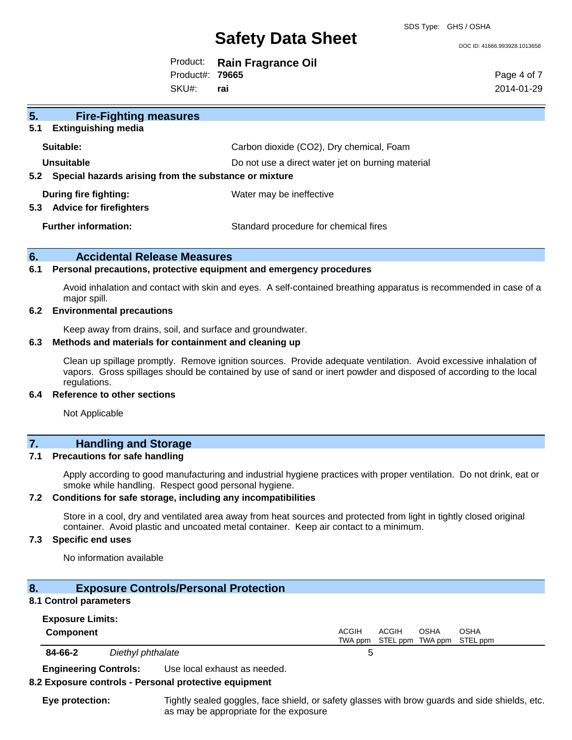DOC ID: 41666.993928.1013658

|                        | Product: Rain Fragrance Oil |
|------------------------|-----------------------------|
| Product#: <b>79665</b> |                             |
| .                      |                             |

SKU#: **rai** Page 4 of 7 2014-01-29

| 5.<br><b>Fire-Fighting measures</b>                            |                                                   |
|----------------------------------------------------------------|---------------------------------------------------|
| 5.1<br><b>Extinguishing media</b>                              |                                                   |
| Suitable:                                                      | Carbon dioxide (CO2), Dry chemical, Foam          |
| Unsuitable                                                     | Do not use a direct water jet on burning material |
| 5.2 Special hazards arising from the substance or mixture      |                                                   |
| During fire fighting:<br>5.3<br><b>Advice for firefighters</b> | Water may be ineffective                          |
| <b>Further information:</b>                                    | Standard procedure for chemical fires             |

## **6. Accidental Release Measures**

### **6.1 Personal precautions, protective equipment and emergency procedures**

Avoid inhalation and contact with skin and eyes. A self-contained breathing apparatus is recommended in case of a major spill.

#### **6.2 Environmental precautions**

Keep away from drains, soil, and surface and groundwater.

### **6.3 Methods and materials for containment and cleaning up**

Clean up spillage promptly. Remove ignition sources. Provide adequate ventilation. Avoid excessive inhalation of vapors. Gross spillages should be contained by use of sand or inert powder and disposed of according to the local regulations.

#### **6.4 Reference to other sections**

Not Applicable

# **7. Handling and Storage**

#### **7.1 Precautions for safe handling**

Apply according to good manufacturing and industrial hygiene practices with proper ventilation. Do not drink, eat or smoke while handling. Respect good personal hygiene.

### **7.2 Conditions for safe storage, including any incompatibilities**

Store in a cool, dry and ventilated area away from heat sources and protected from light in tightly closed original container. Avoid plastic and uncoated metal container. Keep air contact to a minimum.

## **7.3 Specific end uses**

No information available

# **8. Exposure Controls/Personal Protection**

## **8.1 Control parameters**

| <b>Exposure Limits:</b> |                   |                                                                     |
|-------------------------|-------------------|---------------------------------------------------------------------|
| <b>Component</b>        |                   | ACGIH<br>ACGIH<br>OSHA<br>OSHA<br>TWA ppm STEL ppm TWA ppm STEL ppm |
| 84-66-2                 | Diethyl phthalate |                                                                     |

**Engineering Controls:** Use local exhaust as needed.

#### **8.2 Exposure controls - Personal protective equipment**

**Eye protection:** Tightly sealed goggles, face shield, or safety glasses with brow guards and side shields, etc. as may be appropriate for the exposure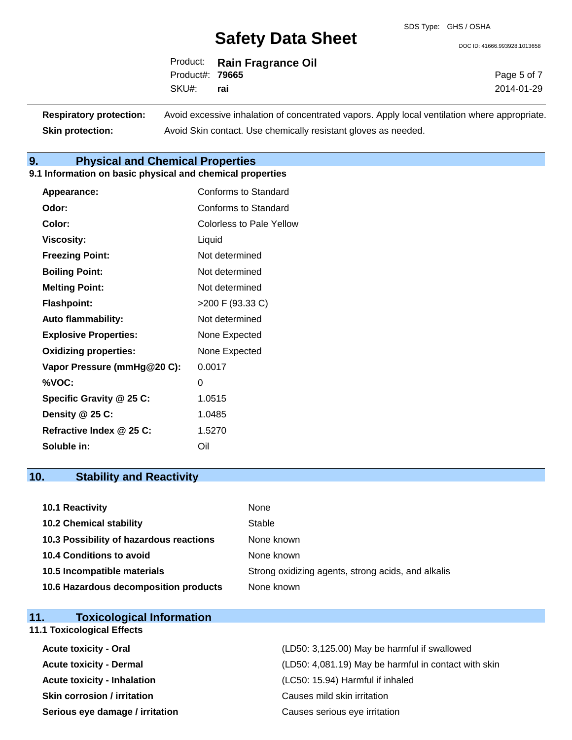DOC ID: 41666.993928.1013658

|                        | Product: Rain Fragrance Oil |
|------------------------|-----------------------------|
| Product#: <b>79665</b> |                             |
| SKU#: rai              |                             |

Page 5 of 7 2014-01-29

| <b>Respiratory protection:</b> | Avoid excessive inhalation of concentrated vapors. Apply local ventilation where appropriate. |
|--------------------------------|-----------------------------------------------------------------------------------------------|
| <b>Skin protection:</b>        | Avoid Skin contact. Use chemically resistant gloves as needed.                                |

# **9. Physical and Chemical Properties**

#### **9.1 Information on basic physical and chemical properties**

| Appearance:                  | Conforms to Standard            |
|------------------------------|---------------------------------|
| Odor:                        | Conforms to Standard            |
| Color:                       | <b>Colorless to Pale Yellow</b> |
| <b>Viscosity:</b>            | Liquid                          |
| <b>Freezing Point:</b>       | Not determined                  |
| <b>Boiling Point:</b>        | Not determined                  |
| <b>Melting Point:</b>        | Not determined                  |
| <b>Flashpoint:</b>           | >200 F (93.33 C)                |
| <b>Auto flammability:</b>    | Not determined                  |
| <b>Explosive Properties:</b> | None Expected                   |
| <b>Oxidizing properties:</b> | None Expected                   |
| Vapor Pressure (mmHg@20 C):  | 0.0017                          |
| %VOC:                        | 0                               |
| Specific Gravity @ 25 C:     | 1.0515                          |
| Density @ 25 C:              | 1.0485                          |
| Refractive Index @ 25 C:     | 1.5270                          |
| Soluble in:                  | Oil                             |

# **10. Stability and Reactivity**

| <b>10.1 Reactivity</b>                  | None                                               |
|-----------------------------------------|----------------------------------------------------|
| <b>10.2 Chemical stability</b>          | Stable                                             |
| 10.3 Possibility of hazardous reactions | None known                                         |
| <b>10.4 Conditions to avoid</b>         | None known                                         |
| 10.5 Incompatible materials             | Strong oxidizing agents, strong acids, and alkalis |
| 10.6 Hazardous decomposition products   | None known                                         |

| <b>Toxicological Information</b><br>11. |                                                      |
|-----------------------------------------|------------------------------------------------------|
| <b>11.1 Toxicological Effects</b>       |                                                      |
| <b>Acute toxicity - Oral</b>            | (LD50: 3,125.00) May be harmful if swallowed         |
| <b>Acute toxicity - Dermal</b>          | (LD50: 4,081.19) May be harmful in contact with skin |
| <b>Acute toxicity - Inhalation</b>      | (LC50: 15.94) Harmful if inhaled                     |
| <b>Skin corrosion / irritation</b>      | Causes mild skin irritation                          |
| Serious eye damage / irritation         | Causes serious eye irritation                        |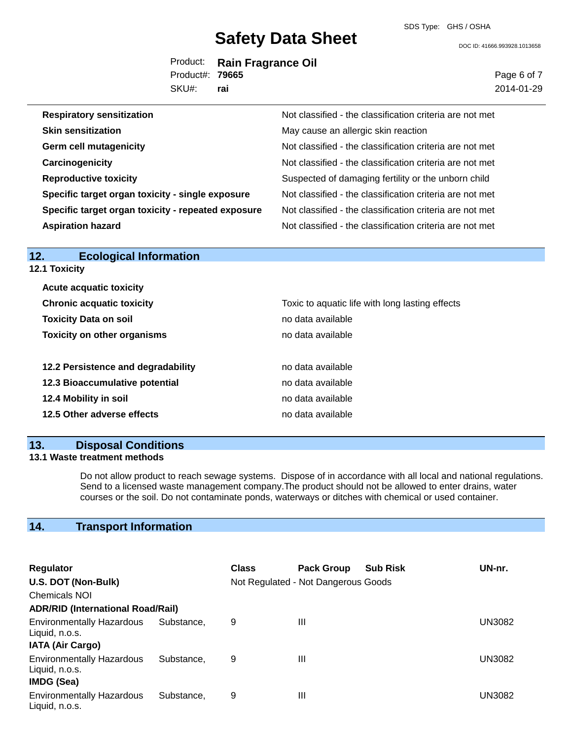SDS Type: GHS / OSHA

DOC ID: 41666.993928.1013658

|                 | Product: Rain Fragrance Oil |
|-----------------|-----------------------------|
| Product#: 79665 |                             |
| SKU#: rai       |                             |

Page 6 of 7 2014-01-29

| <b>Respiratory sensitization</b>                   | Not classified - the classification criteria are not met |
|----------------------------------------------------|----------------------------------------------------------|
| <b>Skin sensitization</b>                          | May cause an allergic skin reaction                      |
| <b>Germ cell mutagenicity</b>                      | Not classified - the classification criteria are not met |
| Carcinogenicity                                    | Not classified - the classification criteria are not met |
| <b>Reproductive toxicity</b>                       | Suspected of damaging fertility or the unborn child      |
| Specific target organ toxicity - single exposure   | Not classified - the classification criteria are not met |
| Specific target organ toxicity - repeated exposure | Not classified - the classification criteria are not met |
| <b>Aspiration hazard</b>                           | Not classified - the classification criteria are not met |

| <b>Ecological Information</b><br>12. |                                                 |
|--------------------------------------|-------------------------------------------------|
| <b>12.1 Toxicity</b>                 |                                                 |
| <b>Acute acquatic toxicity</b>       |                                                 |
| <b>Chronic acquatic toxicity</b>     | Toxic to aquatic life with long lasting effects |
| <b>Toxicity Data on soil</b>         | no data available                               |
| <b>Toxicity on other organisms</b>   | no data available                               |
| 12.2 Persistence and degradability   | no data available                               |
| 12.3 Bioaccumulative potential       | no data available                               |
| 12.4 Mobility in soil                | no data available                               |
| 12.5 Other adverse effects           | no data available                               |
|                                      |                                                 |

# **13. Disposal Conditions**

## **13.1 Waste treatment methods**

Do not allow product to reach sewage systems. Dispose of in accordance with all local and national regulations. Send to a licensed waste management company.The product should not be allowed to enter drains, water courses or the soil. Do not contaminate ponds, waterways or ditches with chemical or used container.

# **14. Transport Information**

| <b>Regulator</b>                                                              |            | <b>Class</b> | <b>Pack Group</b>                   | <b>Sub Risk</b> | UN-nr. |
|-------------------------------------------------------------------------------|------------|--------------|-------------------------------------|-----------------|--------|
| U.S. DOT (Non-Bulk)                                                           |            |              | Not Regulated - Not Dangerous Goods |                 |        |
| <b>Chemicals NOI</b>                                                          |            |              |                                     |                 |        |
| <b>ADR/RID (International Road/Rail)</b>                                      |            |              |                                     |                 |        |
| <b>Environmentally Hazardous</b><br>Liquid, n.o.s.<br><b>IATA (Air Cargo)</b> | Substance. | 9            | Ш                                   |                 | UN3082 |
| <b>Environmentally Hazardous</b><br>Liquid, n.o.s.<br><b>IMDG (Sea)</b>       | Substance, | 9            | Ш                                   |                 | UN3082 |
| <b>Environmentally Hazardous</b><br>Liquid, n.o.s.                            | Substance, | 9            | Ш                                   |                 | UN3082 |